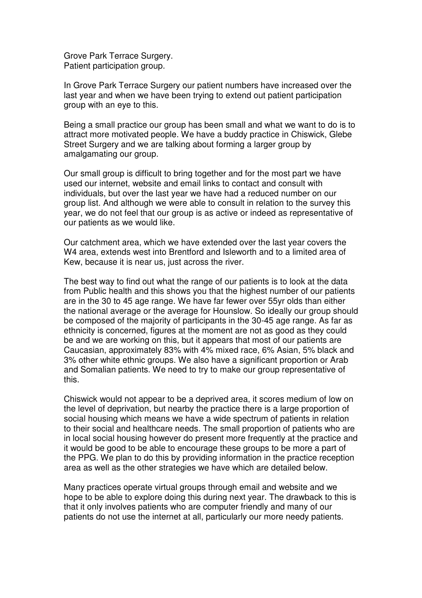Grove Park Terrace Surgery. Patient participation group.

In Grove Park Terrace Surgery our patient numbers have increased over the last year and when we have been trying to extend out patient participation group with an eye to this.

Being a small practice our group has been small and what we want to do is to attract more motivated people. We have a buddy practice in Chiswick, Glebe Street Surgery and we are talking about forming a larger group by amalgamating our group.

Our small group is difficult to bring together and for the most part we have used our internet, website and email links to contact and consult with individuals, but over the last year we have had a reduced number on our group list. And although we were able to consult in relation to the survey this year, we do not feel that our group is as active or indeed as representative of our patients as we would like.

Our catchment area, which we have extended over the last year covers the W4 area, extends west into Brentford and Isleworth and to a limited area of Kew, because it is near us, just across the river.

The best way to find out what the range of our patients is to look at the data from Public health and this shows you that the highest number of our patients are in the 30 to 45 age range. We have far fewer over 55yr olds than either the national average or the average for Hounslow. So ideally our group should be composed of the majority of participants in the 30-45 age range. As far as ethnicity is concerned, figures at the moment are not as good as they could be and we are working on this, but it appears that most of our patients are Caucasian, approximately 83% with 4% mixed race, 6% Asian, 5% black and 3% other white ethnic groups. We also have a significant proportion or Arab and Somalian patients. We need to try to make our group representative of this.

Chiswick would not appear to be a deprived area, it scores medium of low on the level of deprivation, but nearby the practice there is a large proportion of social housing which means we have a wide spectrum of patients in relation to their social and healthcare needs. The small proportion of patients who are in local social housing however do present more frequently at the practice and it would be good to be able to encourage these groups to be more a part of the PPG. We plan to do this by providing information in the practice reception area as well as the other strategies we have which are detailed below.

Many practices operate virtual groups through email and website and we hope to be able to explore doing this during next year. The drawback to this is that it only involves patients who are computer friendly and many of our patients do not use the internet at all, particularly our more needy patients.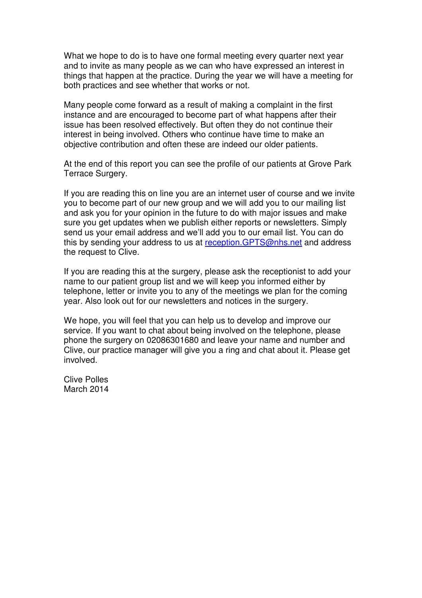What we hope to do is to have one formal meeting every quarter next year and to invite as many people as we can who have expressed an interest in things that happen at the practice. During the year we will have a meeting for both practices and see whether that works or not.

Many people come forward as a result of making a complaint in the first instance and are encouraged to become part of what happens after their issue has been resolved effectively. But often they do not continue their interest in being involved. Others who continue have time to make an objective contribution and often these are indeed our older patients.

At the end of this report you can see the profile of our patients at Grove Park Terrace Surgery.

If you are reading this on line you are an internet user of course and we invite you to become part of our new group and we will add you to our mailing list and ask you for your opinion in the future to do with major issues and make sure you get updates when we publish either reports or newsletters. Simply send us your email address and we'll add you to our email list. You can do this by sending your address to us at reception.GPTS@nhs.net and address the request to Clive.

If you are reading this at the surgery, please ask the receptionist to add your name to our patient group list and we will keep you informed either by telephone, letter or invite you to any of the meetings we plan for the coming year. Also look out for our newsletters and notices in the surgery.

We hope, you will feel that you can help us to develop and improve our service. If you want to chat about being involved on the telephone, please phone the surgery on 02086301680 and leave your name and number and Clive, our practice manager will give you a ring and chat about it. Please get involved.

Clive Polles March 2014